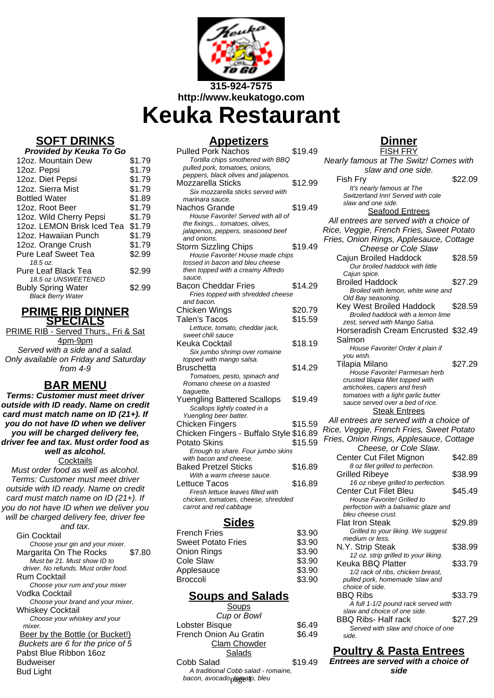

**Keuka Restaurant**

## **SOFT DRINKS**

| Provided by Keuka To Go    |        |  |
|----------------------------|--------|--|
| 12oz. Mountain Dew         | \$1.79 |  |
| 12oz. Pepsi                | \$1.79 |  |
| 12oz. Diet Pepsi           | \$1.79 |  |
| 12oz. Sierra Mist          | \$1.79 |  |
| <b>Bottled Water</b>       | \$1.89 |  |
| 12oz. Root Beer            | \$1.79 |  |
| 12oz. Wild Cherry Pepsi    | \$1.79 |  |
| 12oz. LEMON Brisk Iced Tea | \$1.79 |  |
| 12oz. Hawaiian Punch       | \$1.79 |  |
| 12oz. Orange Crush         | \$1.79 |  |
| <b>Pure Leaf Sweet Tea</b> | \$2.99 |  |
| 18.5 oz.                   |        |  |
| <b>Pure Leaf Black Tea</b> | \$2.99 |  |
| 18.5 oz UNSWEETENED        |        |  |
| <b>Bubly Spring Water</b>  | \$2.99 |  |
| <b>Black Berry Water</b>   |        |  |

#### **PRIME RIB DINNER SPECIALS**

PRIME RIB - Served Thurs., Fri & Sat 4pm-9pm Served with a side and a salad. Only available on Friday and Saturday from  $4-9$ 

## **BAR MENU**

**Terms: Customer must meet driver outside with ID ready. Name on credit card must match name on ID (21+). If you do not have ID when we deliver you will be charged delivery fee, driver fee and tax. Must order food as well as alcohol. Cocktails** 

Must order food as well as alcohol. Terms: Customer must meet driver outside with ID ready. Name on credit card must match name on ID (21+). If you do not have ID when we deliver you will be charged delivery fee, driver fee and tax.

Gin Cocktail Choose your gin and your mixer. Margarita On The Rocks \$7.80 Must be 21. Must show ID to driver. No refunds. Must order food. Rum Cocktail Choose your rum and your mixer Vodka Cocktail Choose your brand and your mixer. Whiskey Cocktail Choose your whiskey and your mixer. Beer by the Bottle (or Bucket!) Buckets are 6 for the price of 5 Pabst Blue Ribbon 16oz Budweiser Bud Light

## **Appetizers**

| <b>Pulled Pork Nachos</b>               | \$19.49 |
|-----------------------------------------|---------|
| Tortilla chips smothered with BBQ       |         |
| pulled pork, tomatoes, onions,          |         |
| peppers, black olives and jalapenos.    |         |
| Mozzarella Sticks                       | \$12.99 |
| Six mozzarella sticks served with       |         |
| marinara sauce.                         |         |
| Nachos Grande                           | \$19.49 |
| House Favorite! Served with all of      |         |
| the fixings tomatoes, olives,           |         |
| jalapenos, peppers, seasoned beef       |         |
| and onions.                             |         |
| Storm Sizzling Chips                    | \$19.49 |
|                                         |         |
| House Favorite! House made chips        |         |
| tossed in bacon and bleu cheese         |         |
| then topped with a creamy Alfredo       |         |
| sauce.                                  |         |
| <b>Bacon Cheddar Fries</b>              | \$14.29 |
| Fries topped with shredded cheese       |         |
| and bacon.                              |         |
| Chicken Wings                           | \$20.79 |
| Talen's Tacos                           | \$15.59 |
| Lettuce, tomato, cheddar jack,          |         |
| sweet chili sauce                       |         |
| Keuka Cocktail                          | \$18.19 |
| Six jumbo shrimp over romaine           |         |
| topped with mango salsa.                |         |
| Bruschetta                              | \$14.29 |
| Tomatoes, pesto, spinach and            |         |
| Romano cheese on a toasted              |         |
| baguette.                               |         |
| <b>Yuengling Battered Scallops</b>      | \$19.49 |
|                                         |         |
| Scallops lightly coated in a            |         |
| Yuengling beer batter.                  |         |
| Chicken Fingers                         | \$15.59 |
| Chicken Fingers - Buffalo Style \$16.89 |         |
| <b>Potato Skins</b>                     | \$15.59 |
| Enough to share. Four jumbo skins       |         |
| with bacon and cheese.                  |         |
| <b>Baked Pretzel Sticks</b>             | \$16.89 |
| With a warm cheese sauce.               |         |
| Lettuce Tacos                           | \$16.89 |
| Fresh lettuce leaves filled with        |         |
| chicken, tomatoes, cheese, shredded     |         |
| carrot and red cabbage                  |         |
|                                         |         |
| Sid <u>es</u>                           |         |
|                                         |         |
| <b>French Fries</b>                     | \$3.90  |

| French Fries       | \$3.90 |
|--------------------|--------|
| Sweet Potato Fries | \$3.90 |
| Onion Rings        | \$3.90 |
| Cole Slaw          | \$3.90 |
| Applesauce         | \$3.90 |
| Broccoli           | \$3.90 |
|                    |        |

## **Soups and Salads**

| Soups                               |         |
|-------------------------------------|---------|
| Cup or Bowl                         |         |
| Lobster Bisque                      | \$6.49  |
| French Onion Au Gratin              | \$6.49  |
| <b>Clam Chowder</b>                 |         |
| Salads                              |         |
| Cobb Salad                          | \$19.49 |
| A traditional Cobb salad - romaine, |         |
| honon gungado tamata hlau           |         |

bacon, avocado<sub>pt</sub>ogato, bleu

# **Dinner**

| <b>FISH FRY</b>                                                         |         |
|-------------------------------------------------------------------------|---------|
| Nearly famous at The Switz! Comes with                                  |         |
| slaw and one side.                                                      |         |
| Fish Fry                                                                | \$22.09 |
| It's nearly famous at The                                               |         |
| Switzerland Inn! Served with cole                                       |         |
| slaw and one side.                                                      |         |
| <b>Seafood Entrees</b>                                                  |         |
| All entrees are served with a choice of                                 |         |
| Rice, Veggie, French Fries, Sweet Potato                                |         |
| Fries, Onion Rings, Applesauce, Cottage                                 |         |
|                                                                         |         |
| <b>Cheese or Cole Slaw</b>                                              |         |
| Cajun Broiled Haddock                                                   | \$28.59 |
| Our broiled haddock with little                                         |         |
| Cajun spice.                                                            |         |
| <b>Broiled Haddock</b>                                                  | \$27.29 |
| Broiled with lemon, white wine and                                      |         |
| Old Bay seasoning.                                                      | \$28.59 |
| Key West Broiled Haddock                                                |         |
| Broiled haddock with a lemon lime<br>zest, served with Mango Salsa.     |         |
| Horseradish Cream Encrusted \$32.49                                     |         |
|                                                                         |         |
| Salmon                                                                  |         |
| House Favorite! Order it plain if                                       |         |
| you wish.<br>Tilapia Milano                                             | \$27.29 |
| House Favorite! Parmesan herb                                           |         |
| crusted tilapia fillet topped with                                      |         |
| artichokes, capers and fresh                                            |         |
|                                                                         |         |
|                                                                         |         |
| tomatoes with a light garlic butter<br>sauce served over a bed of rice. |         |
|                                                                         |         |
| <b>Steak Entrees</b>                                                    |         |
| All entrees are served with a choice of                                 |         |
| Rice, Veggie, French Fries, Sweet Potato                                |         |
| Fries, Onion Rings, Applesauce, Cottage                                 |         |
| Cheese, or Cole Slaw.                                                   |         |
| Center Cut Filet Mignon                                                 | \$42.89 |
| 8 oz filet grilled to perfection.                                       |         |
| Grilled Ribeye                                                          | \$38.99 |
| 16 oz ribeye grilled to perfection.                                     |         |
| Center Cut Filet Bleu                                                   | \$45.49 |
| House Favorite! Grilled to                                              |         |
| perfection with a balsamic glaze and                                    |         |
| bleu cheese crust.                                                      |         |
| <b>Flat Iron Steak</b>                                                  | \$29.89 |
| Grilled to your liking. We suggest                                      |         |
| medium or less.                                                         |         |
| N.Y. Strip Steak                                                        | \$38.99 |
| 12 oz. strip grilled to your liking.                                    |         |
| Keuka BBQ Platter                                                       | \$33.79 |
| 1/2 rack of ribs, chicken breast,                                       |         |
| pulled pork, homemade 'slaw and<br>choice of side.                      |         |
|                                                                         |         |
| <b>BBQ Ribs</b>                                                         | \$33.79 |
| A full 1-1/2 pound rack served with<br>slaw and choice of one side.     |         |
| <b>BBQ Ribs- Half rack</b>                                              | \$27.29 |
| Served with slaw and choice of one                                      |         |

## **Poultry & Pasta Entrees**

**Entrees are served with a choice of side**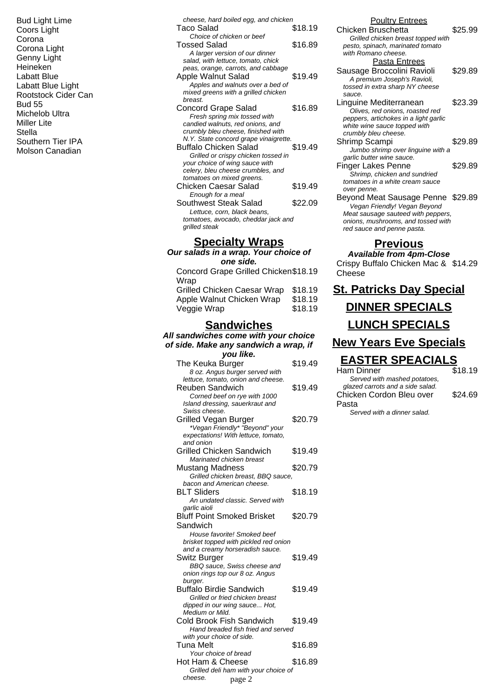Bud Light Lime Coors Light Corona Corona Light Genny Light Heineken Labatt Blue Labatt Blue Light Rootstock Cider Can Bud 55 Michelob Ultra Miller Lite **Stella** Southern Tier IPA Molson Canadian

| cheese, hard boiled egg, and chicken                                  |         |
|-----------------------------------------------------------------------|---------|
| Taco Salad<br>Choice of chicken or beef                               | \$18.19 |
| Tossed Salad                                                          | \$16.89 |
| A larger version of our dinner                                        |         |
| salad, with lettuce, tomato, chick                                    |         |
| peas, orange, carrots, and cabbage                                    |         |
| Apple Walnut Salad<br>Apples and walnuts over a bed of                | \$19.49 |
| mixed greens with a grilled chicken                                   |         |
| breast.                                                               |         |
| <b>Concord Grape Salad</b>                                            | \$16.89 |
| Fresh spring mix tossed with<br>candied walnuts, red onions, and      |         |
| crumbly bleu cheese, finished with                                    |         |
| N.Y. State concord grape vinaigrette.                                 |         |
| <b>Buffalo Chicken Salad</b>                                          | \$19.49 |
| Grilled or crispy chicken tossed in<br>your choice of wing sauce with |         |
| celery, bleu cheese crumbles, and                                     |         |
| tomatoes on mixed greens.                                             |         |
| Chicken Caesar Salad                                                  | \$19.49 |
| Enough for a meal<br>Southwest Steak Salad                            | \$22.09 |
| Lettuce, corn, black beans,                                           |         |
| tomatoes, avocado, cheddar jack and                                   |         |
| grilled steak                                                         |         |
| <b>Specialty Wraps</b>                                                |         |
| Our salads in a wrap. Your choice of                                  |         |

**one side.** Concord Grape Grilled Chicken \$18.19

| \$18.19 |
|---------|
| \$18.19 |
| \$18.19 |
|         |

### **Sandwiches**

#### **All sandwiches come with your choice of side. Make any sandwich a wrap, if**

| you like.                                                            |         |
|----------------------------------------------------------------------|---------|
| The Keuka Burger                                                     | \$19.49 |
| 8 oz. Angus burger served with<br>lettuce, tomato, onion and cheese. |         |
| Reuben Sandwich                                                      | \$19.49 |
| Corned beef on rye with 1000                                         |         |
| Island dressing, sauerkraut and                                      |         |
| Swiss cheese.                                                        |         |
| Grilled Vegan Burger                                                 | \$20.79 |
| *Vegan Friendly* "Beyond" your                                       |         |
| expectations! With lettuce, tomato,                                  |         |
| and onion                                                            |         |
| Grilled Chicken Sandwich                                             | \$19.49 |
| Marinated chicken breast                                             |         |
| <b>Mustang Madness</b>                                               | \$20.79 |
| Grilled chicken breast, BBQ sauce,                                   |         |
| bacon and American cheese.                                           |         |
| <b>BLT Sliders</b>                                                   | \$18.19 |
| An undated classic. Served with                                      |         |
| garlic aioli                                                         |         |
| <b>Bluff Point Smoked Brisket</b>                                    | \$20.79 |
| Sandwich                                                             |         |
| House favorite! Smoked beef                                          |         |
| brisket topped with pickled red onion                                |         |
| and a creamy horseradish sauce.                                      |         |
| Switz Burger                                                         | \$19.49 |
| BBQ sauce, Swiss cheese and                                          |         |
| onion rings top our 8 oz. Angus<br>burger.                           |         |
| Buffalo Birdie Sandwich                                              | \$19.49 |
| Grilled or fried chicken breast                                      |         |
| dipped in our wing sauce Hot,                                        |         |
| Medium or Mild.                                                      |         |
| Cold Brook Fish Sandwich                                             | \$19.49 |
| Hand breaded fish fried and served                                   |         |
| with your choice of side.                                            |         |
| <b>Tuna Melt</b>                                                     | \$16.89 |
| Your choice of bread                                                 |         |
| Hot Ham & Cheese                                                     | \$16.89 |
| Grilled deli ham with your choice of                                 |         |
| cheese.<br>page 2                                                    |         |

#### Poultry Entrees

| . <b>.</b><br>.                       |         |
|---------------------------------------|---------|
| Chicken Bruschetta                    | \$25.99 |
| Grilled chicken breast topped with    |         |
| pesto, spinach, marinated tomato      |         |
| with Romano cheese.                   |         |
| Pasta Entrees                         |         |
| Sausage Broccolini Ravioli            | \$29.89 |
| A premium Joseph's Ravioli,           |         |
| tossed in extra sharp NY cheese       |         |
| sauce.                                |         |
| Linguine Mediterranean                | \$23.39 |
| Olives, red onions, roasted red       |         |
| peppers, artichokes in a light garlic |         |
| white wine sauce topped with          |         |
| crumbly bleu cheese.                  |         |
| Shrimp Scampi                         | \$29.89 |
| Jumbo shrimp over linguine with a     |         |
| garlic butter wine sauce.             |         |
| Finger Lakes Penne                    | \$29.89 |
| Shrimp, chicken and sundried          |         |
| tomatoes in a white cream sauce       |         |
| over penne.                           |         |
| Beyond Meat Sausage Penne \$29.89     |         |
| Vegan Friendly! Vegan Beyond          |         |
| Meat sausage sauteed with peppers,    |         |
| onions, mushrooms, and tossed with    |         |
| red sauce and penne pasta.            |         |
|                                       |         |

#### **Previous**

#### **Available from 4pm-Close** Crispy Buffalo Chicken Mac & \$14.29

Cheese

| <b>St. Patricks Day Special</b> |         |
|---------------------------------|---------|
| <b>DINNER SPECIALS</b>          |         |
| <b>LUNCH SPECIALS</b>           |         |
| <b>New Years Eve Specials</b>   |         |
| <b>EASTER SPEACIALS</b>         |         |
| Ham Dinner                      | \$18.19 |
| Served with mashed potatoes,    |         |

| Served with mashed potatoes,     |
|----------------------------------|
| glazed carrots and a side salad. |
| Chicken Cordon Bleu over         |
| Pasta                            |

Served with a dinner salad.

\$24.69